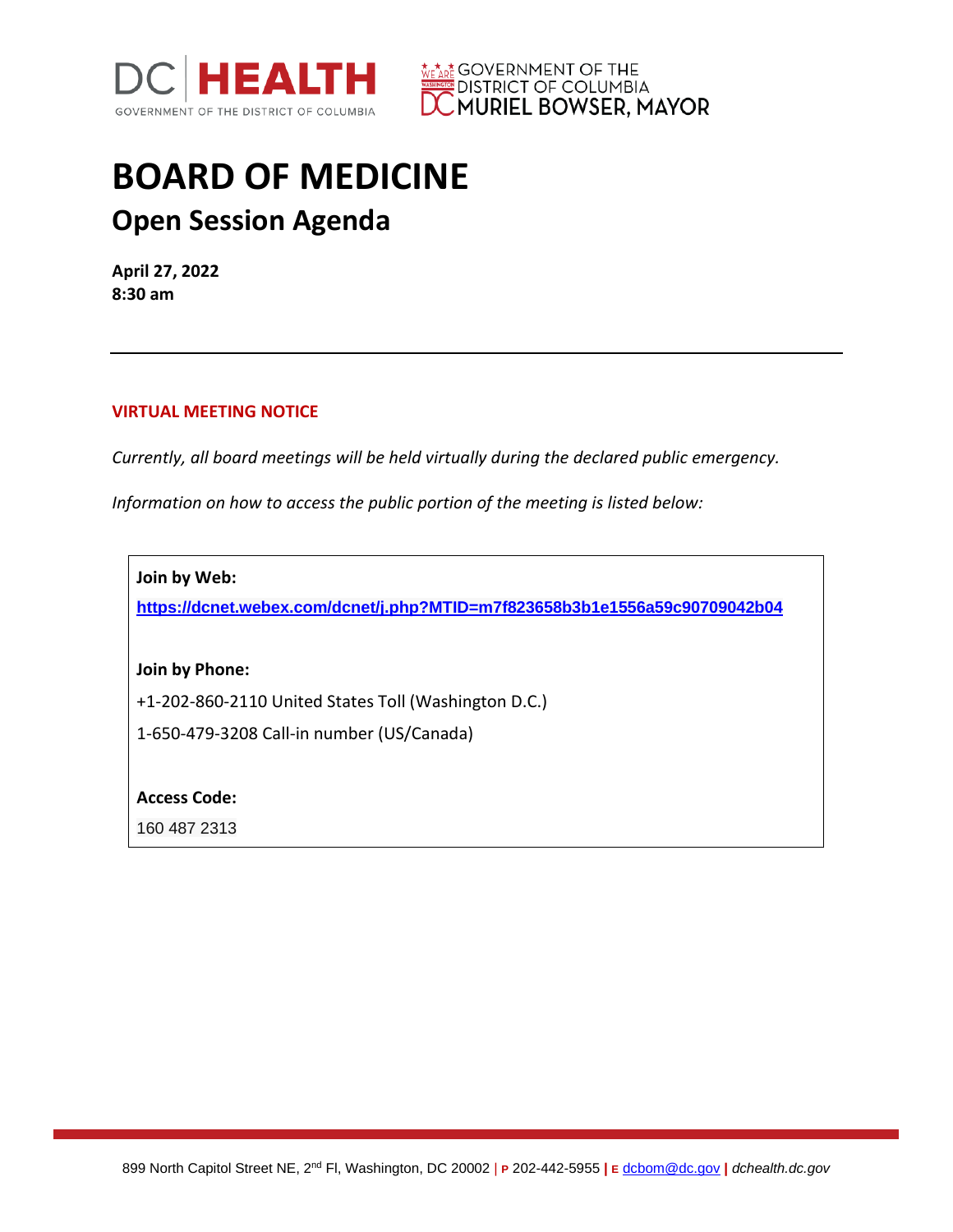



## **BOARD OF MEDICINE Open Session Agenda**

**April 27, 2022 8:30 am**

## **VIRTUAL MEETING NOTICE**

*Currently, all board meetings will be held virtually during the declared public emergency.* 

*Information on how to access the public portion of the meeting is listed below:*

**Join by Web:**

**<https://dcnet.webex.com/dcnet/j.php?MTID=m7f823658b3b1e1556a59c90709042b04>**

**Join by Phone:**

+1-202-860-2110 United States Toll (Washington D.C.)

1-650-479-3208 Call-in number (US/Canada)

**Access Code:** 

160 487 2313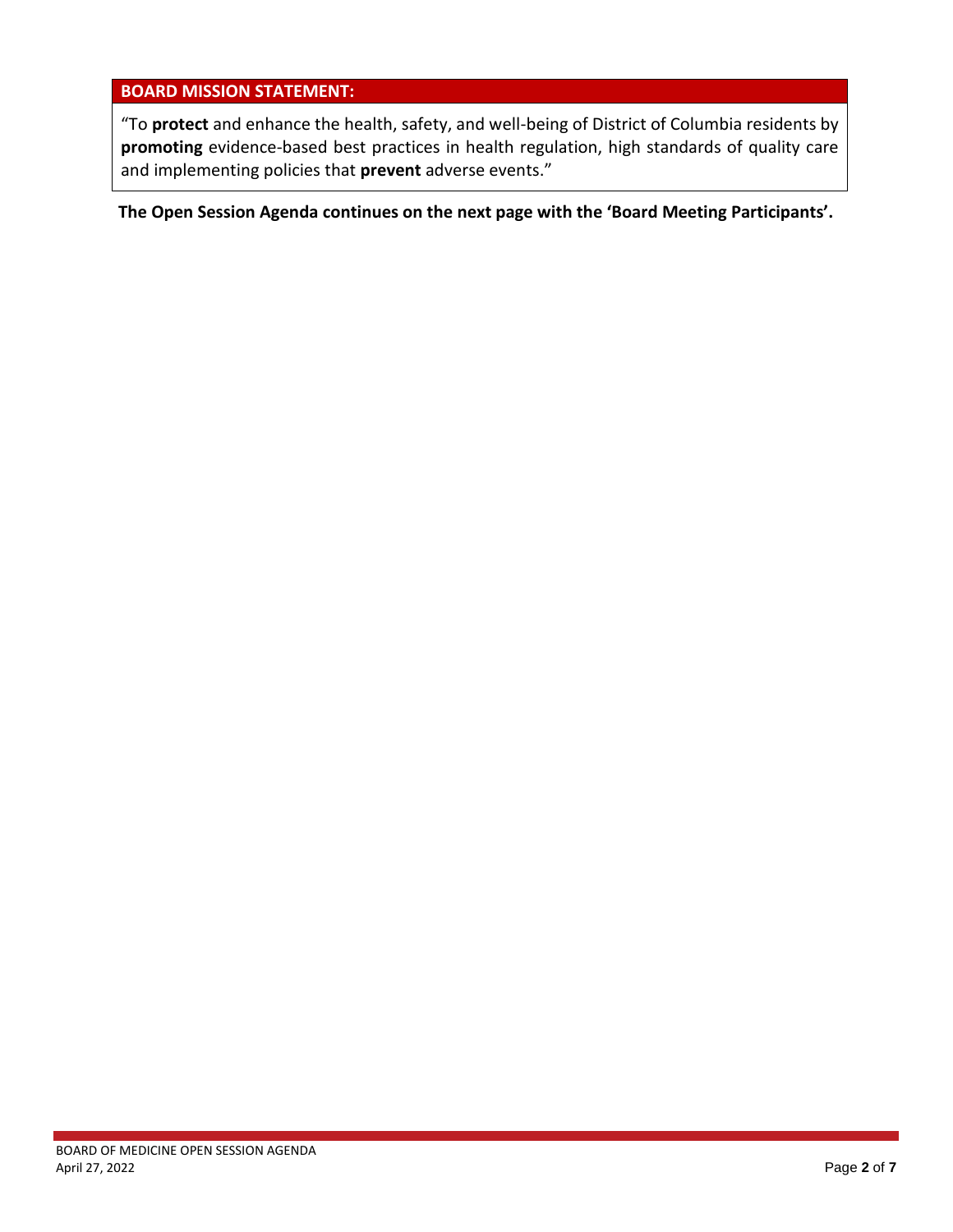## **BOARD MISSION STATEMENT:**

"To **protect** and enhance the health, safety, and well-being of District of Columbia residents by **promoting** evidence-based best practices in health regulation, high standards of quality care and implementing policies that **prevent** adverse events."

**The Open Session Agenda continues on the next page with the 'Board Meeting Participants'.**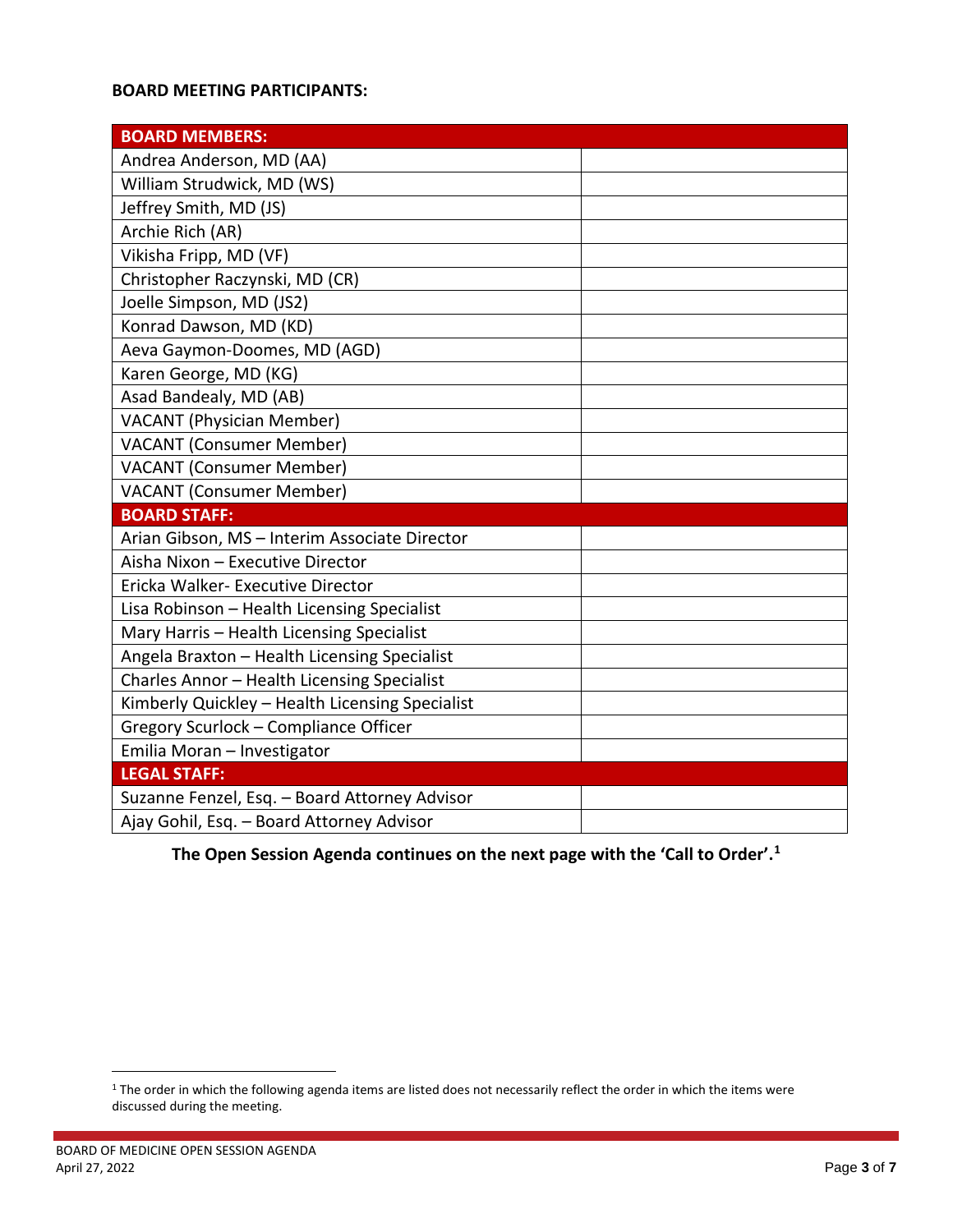## **BOARD MEETING PARTICIPANTS:**

| <b>BOARD MEMBERS:</b>                           |  |
|-------------------------------------------------|--|
| Andrea Anderson, MD (AA)                        |  |
| William Strudwick, MD (WS)                      |  |
| Jeffrey Smith, MD (JS)                          |  |
| Archie Rich (AR)                                |  |
| Vikisha Fripp, MD (VF)                          |  |
| Christopher Raczynski, MD (CR)                  |  |
| Joelle Simpson, MD (JS2)                        |  |
| Konrad Dawson, MD (KD)                          |  |
| Aeva Gaymon-Doomes, MD (AGD)                    |  |
| Karen George, MD (KG)                           |  |
| Asad Bandealy, MD (AB)                          |  |
| <b>VACANT (Physician Member)</b>                |  |
| <b>VACANT (Consumer Member)</b>                 |  |
| <b>VACANT (Consumer Member)</b>                 |  |
| <b>VACANT (Consumer Member)</b>                 |  |
| <b>BOARD STAFF:</b>                             |  |
| Arian Gibson, MS - Interim Associate Director   |  |
| Aisha Nixon - Executive Director                |  |
| Ericka Walker- Executive Director               |  |
| Lisa Robinson - Health Licensing Specialist     |  |
| Mary Harris - Health Licensing Specialist       |  |
| Angela Braxton - Health Licensing Specialist    |  |
| Charles Annor - Health Licensing Specialist     |  |
| Kimberly Quickley - Health Licensing Specialist |  |
| Gregory Scurlock - Compliance Officer           |  |
| Emilia Moran - Investigator                     |  |
| <b>LEGAL STAFF:</b>                             |  |
| Suzanne Fenzel, Esq. - Board Attorney Advisor   |  |
| Ajay Gohil, Esq. - Board Attorney Advisor       |  |

**1he Open Session Agenda continues on the next page with the 'Call to Order'.<sup>1</sup>** 

<sup>&</sup>lt;sup>1</sup> The order in which the following agenda items are listed does not necessarily reflect the order in which the items were discussed during the meeting.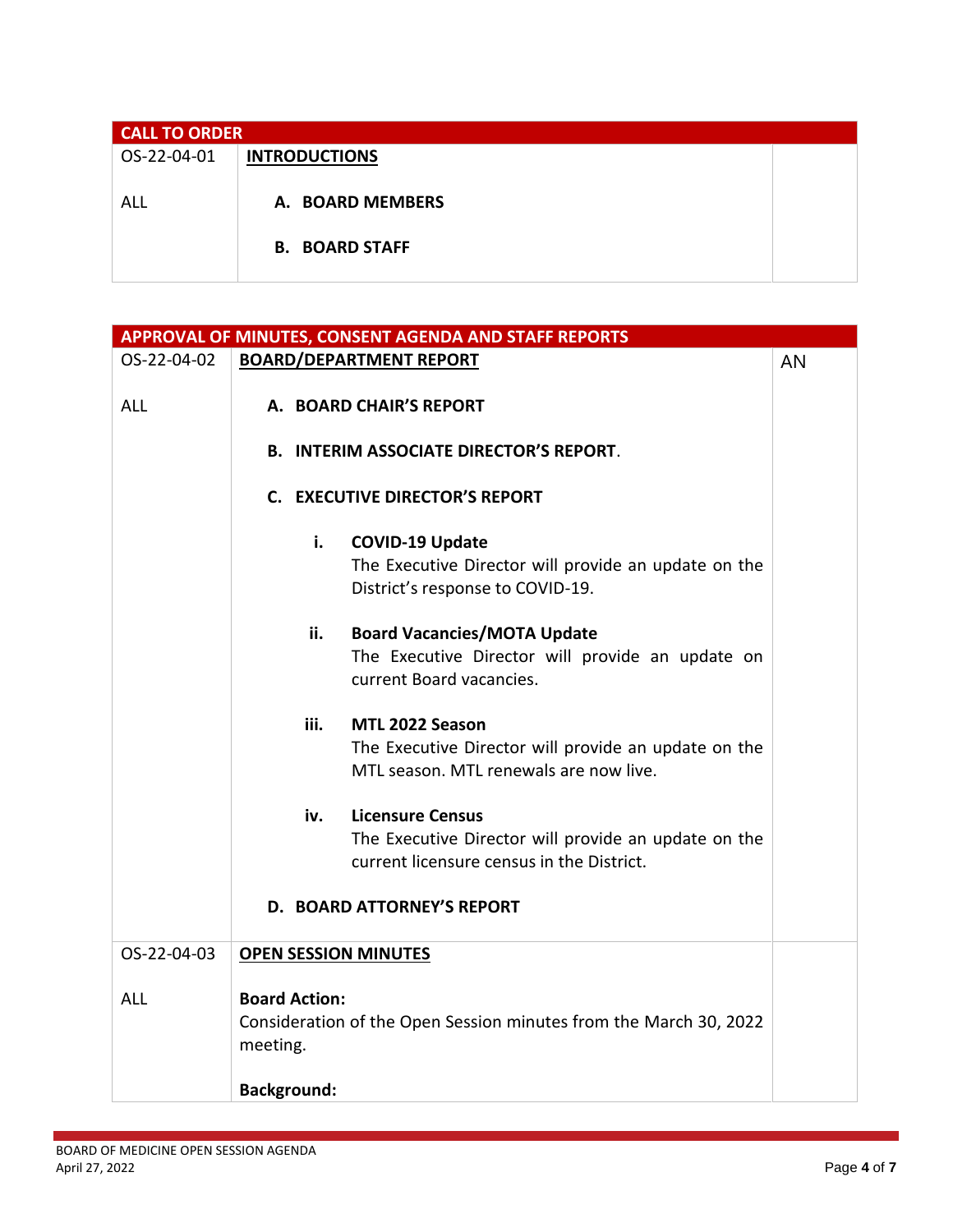| <b>CALL TO ORDER</b> |                       |  |
|----------------------|-----------------------|--|
| OS-22-04-01          | <b>INTRODUCTIONS</b>  |  |
|                      |                       |  |
| ALL                  | A. BOARD MEMBERS      |  |
|                      |                       |  |
|                      | <b>B. BOARD STAFF</b> |  |
|                      |                       |  |

| APPROVAL OF MINUTES, CONSENT AGENDA AND STAFF REPORTS |                                  |                                                                                                                                                            |    |
|-------------------------------------------------------|----------------------------------|------------------------------------------------------------------------------------------------------------------------------------------------------------|----|
| OS-22-04-02                                           |                                  | <b>BOARD/DEPARTMENT REPORT</b>                                                                                                                             | AN |
| <b>ALL</b>                                            |                                  | A. BOARD CHAIR'S REPORT                                                                                                                                    |    |
|                                                       |                                  | <b>B. INTERIM ASSOCIATE DIRECTOR'S REPORT.</b>                                                                                                             |    |
|                                                       |                                  | C. EXECUTIVE DIRECTOR'S REPORT                                                                                                                             |    |
|                                                       | i.                               | <b>COVID-19 Update</b><br>The Executive Director will provide an update on the<br>District's response to COVID-19.                                         |    |
|                                                       | ii.                              | <b>Board Vacancies/MOTA Update</b><br>The Executive Director will provide an update on<br>current Board vacancies.                                         |    |
|                                                       | iii.                             | MTL 2022 Season<br>The Executive Director will provide an update on the<br>MTL season. MTL renewals are now live.                                          |    |
|                                                       | iv.                              | <b>Licensure Census</b><br>The Executive Director will provide an update on the<br>current licensure census in the District.<br>D. BOARD ATTORNEY'S REPORT |    |
| OS-22-04-03                                           | <b>OPEN SESSION MINUTES</b>      |                                                                                                                                                            |    |
| <b>ALL</b>                                            | <b>Board Action:</b><br>meeting. | Consideration of the Open Session minutes from the March 30, 2022                                                                                          |    |
|                                                       | <b>Background:</b>               |                                                                                                                                                            |    |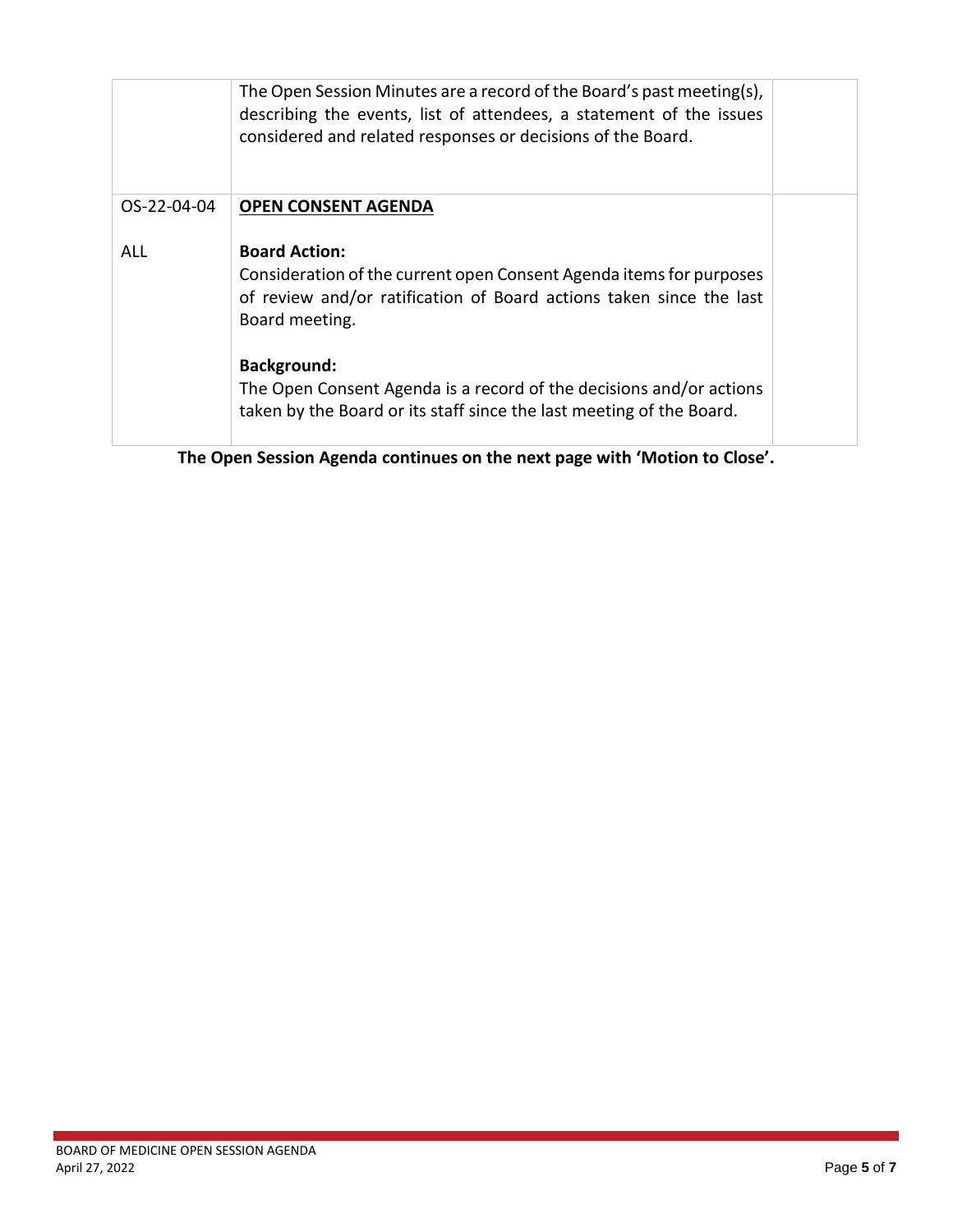|             | The Open Session Minutes are a record of the Board's past meeting(s),<br>describing the events, list of attendees, a statement of the issues<br>considered and related responses or decisions of the Board. |  |
|-------------|-------------------------------------------------------------------------------------------------------------------------------------------------------------------------------------------------------------|--|
| OS-22-04-04 | <b>OPEN CONSENT AGENDA</b>                                                                                                                                                                                  |  |
| <b>ALL</b>  | <b>Board Action:</b><br>Consideration of the current open Consent Agenda items for purposes<br>of review and/or ratification of Board actions taken since the last<br>Board meeting.                        |  |
|             | <b>Background:</b><br>The Open Consent Agenda is a record of the decisions and/or actions<br>taken by the Board or its staff since the last meeting of the Board.                                           |  |

**The Open Session Agenda continues on the next page with 'Motion to Close'.**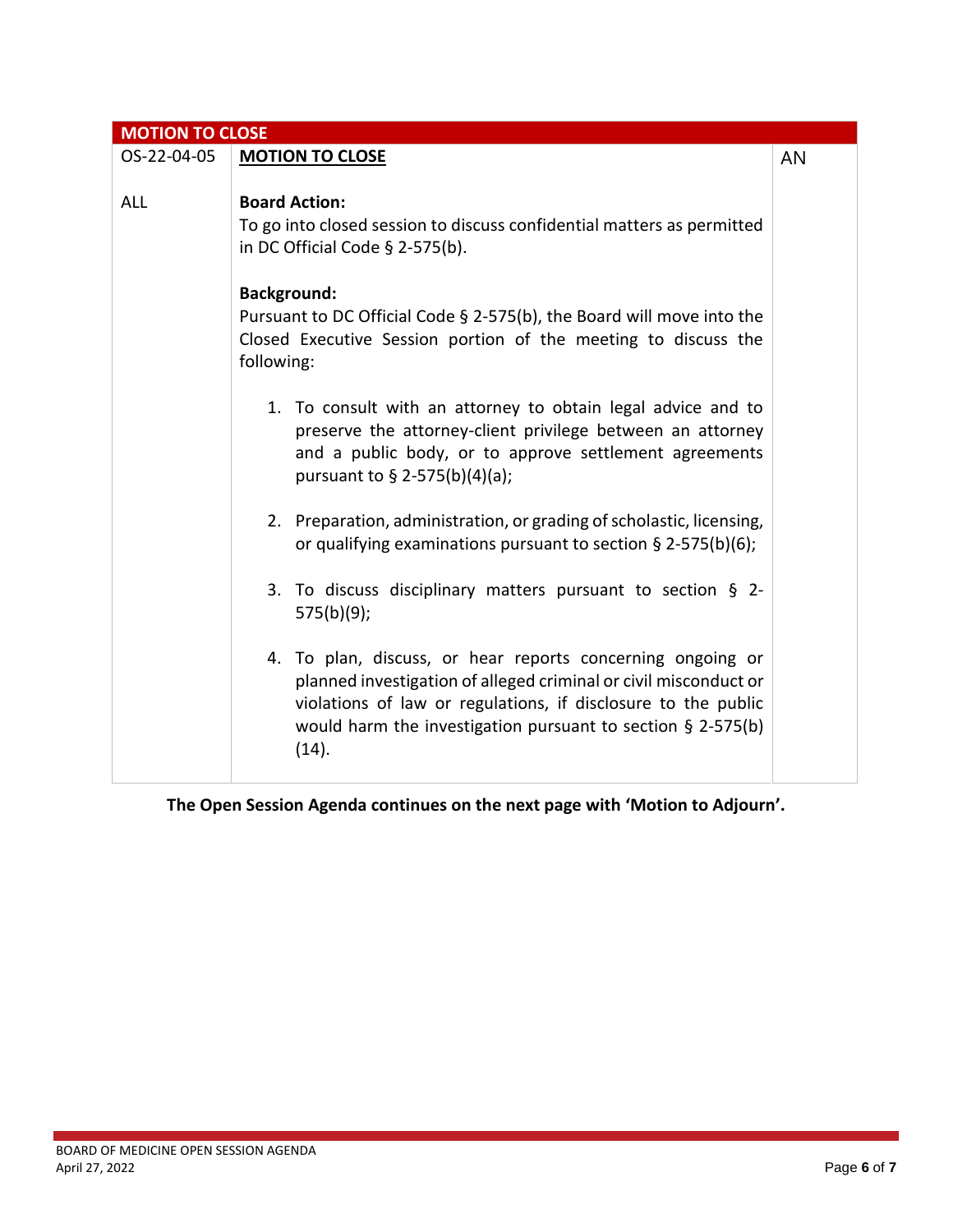| <b>MOTION TO CLOSE</b> |                                                                                                                                                                                                                                                                            |    |
|------------------------|----------------------------------------------------------------------------------------------------------------------------------------------------------------------------------------------------------------------------------------------------------------------------|----|
| OS-22-04-05            | <b>MOTION TO CLOSE</b>                                                                                                                                                                                                                                                     | AN |
| <b>ALL</b>             | <b>Board Action:</b><br>To go into closed session to discuss confidential matters as permitted<br>in DC Official Code $\S$ 2-575(b).                                                                                                                                       |    |
|                        | <b>Background:</b><br>Pursuant to DC Official Code $\S$ 2-575(b), the Board will move into the<br>Closed Executive Session portion of the meeting to discuss the<br>following:                                                                                             |    |
|                        | 1. To consult with an attorney to obtain legal advice and to<br>preserve the attorney-client privilege between an attorney<br>and a public body, or to approve settlement agreements<br>pursuant to § 2-575(b)(4)(a);                                                      |    |
|                        | 2. Preparation, administration, or grading of scholastic, licensing,<br>or qualifying examinations pursuant to section $\S$ 2-575(b)(6);                                                                                                                                   |    |
|                        | 3. To discuss disciplinary matters pursuant to section § 2-<br>$575(b)(9)$ ;                                                                                                                                                                                               |    |
|                        | 4. To plan, discuss, or hear reports concerning ongoing or<br>planned investigation of alleged criminal or civil misconduct or<br>violations of law or regulations, if disclosure to the public<br>would harm the investigation pursuant to section $\S$ 2-575(b)<br>(14). |    |

**The Open Session Agenda continues on the next page with 'Motion to Adjourn'.**